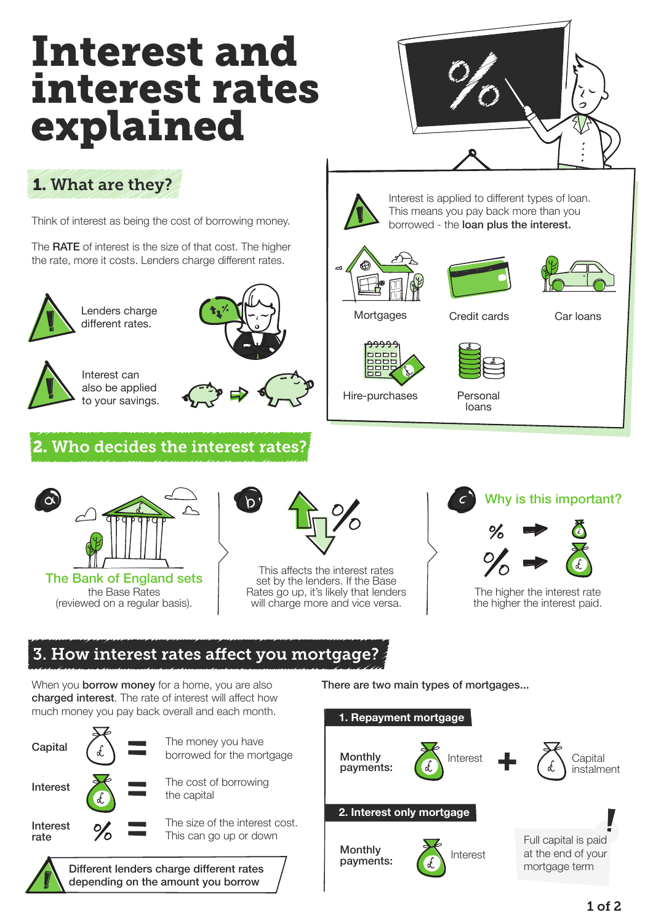# Interest and interest rates explained



# 1. What are they?

Think of interest as being the cost of borrowing money.

The **RATE** of interest is the size of that cost. The higher the rate, more it costs. Lenders charge different rates.



Lenders charge different rates.



Interest can also be applied to your savings.



### Who decides the interest rates?



the Base Rates (reviewed on a regular basis).



This affects the interest rates set by the lenders. If the Base Rates go up, it's likely that lenders will charge more and vice versa.



The higher the interest rate the higher the interest paid.

## 3. How interest rates affect you mortgage?

When you **borrow money** for a home, you are also charged interest. The rate of interest will affect how much money you pay back overall and each month.



depending on the amount you borrow

There are two main types of mortgages...



Mortgages

Credit cards Car loans

Interest is applied to different types of loan. This means you pay back more than you borrowed - the loan plus the interest.



Hire-purchases

Personal loans